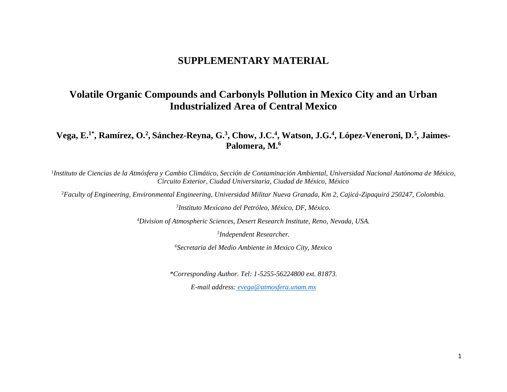## **SUPPLEMENTARY MATERIAL**

## **Volatile Organic Compounds and Carbonyls Pollution in Mexico City and an Urban Industrialized Area of Central Mexico**

**Vega, E.1\*, Ramírez, O.<sup>2</sup> , Sánchez-Reyna, G.<sup>3</sup> , Chow, J.C.<sup>4</sup> , Watson, J.G.<sup>4</sup> , López-Veneroni, D.<sup>5</sup> , Jaimes-Palomera, M.<sup>6</sup>**

<sup>1</sup>Instituto de Ciencias de la Atmósfera y Cambio Climático, Sección de Contaminación Ambiental, Universidad Nacional Autónoma de México, *Circuito Exterior, Ciudad Universitaria, Ciudad de México, México*

<sup>2</sup>*Faculty of Engineering, Environmental Engineering, Universidad Militar Nueva Granada, Km 2, Cajicá-Zipaquirá 250247, Colombia.*

*3 Instituto Mexicano del Petróleo, México, DF, México.*

*<sup>4</sup>Division of Atmospheric Sciences, Desert Research Institute, Reno, Nevada, USA.*

*5 Independent Researcher.*

*<sup>6</sup>Secretaria del Medio Ambiente in Mexico City, Mexico*

*\*Corresponding Author. Tel: 1-5255-56224800 ext. 81873.*

*E-mail address: [evega@atmosfera.unam.mx](mailto:evega@atmosfera.unam.mx)*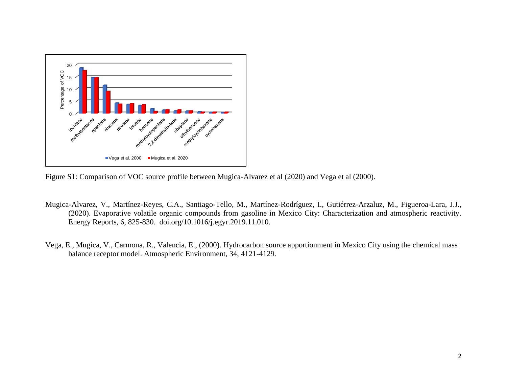

Figure S1: Comparison of VOC source profile between Mugica-Alvarez et al (2020) and Vega et al (2000).

- Mugica-Alvarez, V., Martínez-Reyes, C.A., Santiago-Tello, M., Martínez-Rodríguez, I., Gutiérrez-Arzaluz, M., Figueroa-Lara, J.J., (2020). Evaporative volatile organic compounds from gasoline in Mexico City: Characterization and atmospheric reactivity. Energy Reports, 6, 825-830. doi.org/10.1016/j.egyr.2019.11.010.
- Vega, E., Mugica, V., Carmona, R., Valencia, E., (2000). Hydrocarbon source apportionment in Mexico City using the chemical mass balance receptor model. Atmospheric Environment, 34, 4121-4129.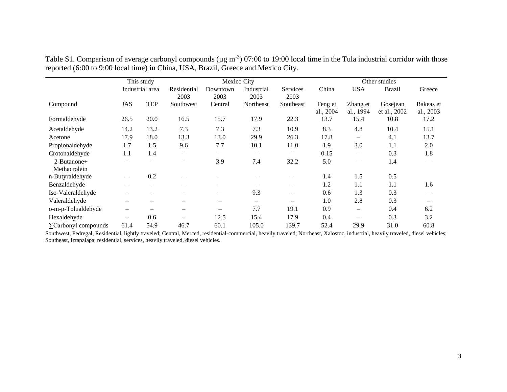|                             |                   | This study      |                          | Mexico City              |                    |                         | Other studies        |                          |                          |                        |  |  |  |
|-----------------------------|-------------------|-----------------|--------------------------|--------------------------|--------------------|-------------------------|----------------------|--------------------------|--------------------------|------------------------|--|--|--|
|                             |                   | Industrial area | Residential<br>2003      | Downtown<br>2003         | Industrial<br>2003 | <b>Services</b><br>2003 | China                | <b>USA</b>               | <b>Brazil</b>            | Greece                 |  |  |  |
| Compound                    | JAS               | <b>TEP</b>      | Southwest                | Central                  | Northeast          | Southeast               | Feng et<br>al., 2004 | Zhang et<br>al., 1994    | Gosejean<br>et al., 2002 | Bakeas et<br>al., 2003 |  |  |  |
| Formaldehyde                | 26.5              | 20.0            | 16.5                     | 15.7                     | 17.9               | 22.3                    | 13.7                 | 15.4                     | 10.8                     | 17.2                   |  |  |  |
| Acetaldehyde                | 14.2              | 13.2            | 7.3                      | 7.3                      | 7.3                | 10.9                    | 8.3                  | 4.8                      | 10.4                     | 15.1                   |  |  |  |
| Acetone                     | 17.9              | 18.0            | 13.3                     | 13.0                     | 29.9               | 26.3                    | 17.8                 | $\qquad \qquad -$        | 4.1                      | 13.7                   |  |  |  |
| Propionaldehyde             | 1.7               | 1.5             | 9.6                      | 7.7                      | 10.1               | 11.0                    | 1.9                  | 3.0                      | 1.1                      | 2.0                    |  |  |  |
| Crotonaldehyde              | 1.1               | 1.4             | —                        | $\overline{\phantom{m}}$ | $\qquad \qquad -$  | $\qquad \qquad -$       | 0.15                 | $\qquad \qquad -$        | 0.3                      | 1.8                    |  |  |  |
| 2-Butanone+<br>Methacrolein |                   |                 | $\overline{\phantom{0}}$ | 3.9                      | 7.4                | 32.2                    | 5.0                  | $\qquad \qquad -$        | 1.4                      | $\qquad \qquad -$      |  |  |  |
| n-Butyraldehyde             | $\qquad \qquad -$ | 0.2             |                          |                          |                    |                         | 1.4                  | 1.5                      | 0.5                      |                        |  |  |  |
| Benzaldehyde                |                   |                 |                          |                          |                    | —                       | 1.2                  | 1.1                      | 1.1                      | 1.6                    |  |  |  |
| Iso-Valeraldehyde           |                   |                 |                          | $\overline{\phantom{m}}$ | 9.3                | $\qquad \qquad -$       | 0.6                  | 1.3                      | 0.3                      |                        |  |  |  |
| Valeraldehyde               | —                 |                 |                          | $\overline{\phantom{m}}$ |                    | -                       | 1.0                  | 2.8                      | 0.3                      |                        |  |  |  |
| o-m-p-Tolualdehyde          | —                 |                 |                          | $\overline{\phantom{0}}$ | 7.7                | 19.1                    | 0.9                  | $\qquad \qquad -$        | 0.4                      | 6.2                    |  |  |  |
| Hexaldehyde                 | —                 | 0.6             |                          | 12.5                     | 15.4               | 17.9                    | 0.4                  | $\overline{\phantom{0}}$ | 0.3                      | 3.2                    |  |  |  |
| $\sum$ Carbonyl compounds   | 61.4              | 54.9            | 46.7                     | 60.1                     | 105.0              | 139.7                   | 52.4                 | 29.9                     | 31.0                     | 60.8                   |  |  |  |

Table S1. Comparison of average carbonyl compounds ( $\mu$ g m<sup>-3</sup>) 07:00 to 19:00 local time in the Tula industrial corridor with those reported (6:00 to 9:00 local time) in China, USA, Brazil, Greece and Mexico City.

Southwest, Pedregal, Residential, lightly traveled; Central, Merced, residential-commercial, heavily traveled; Northeast, Xalostoc, industrial, heavily traveled, diesel vehicles; Southeast, Iztapalapa, residential, services, heavily traveled, diesel vehicles.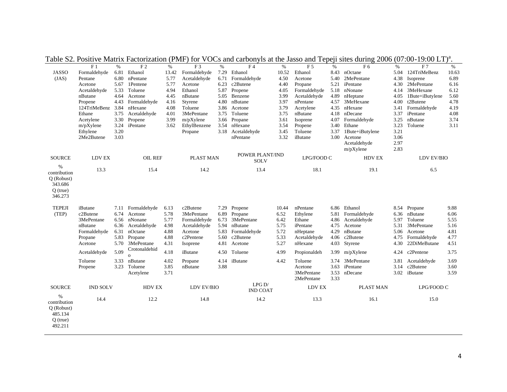|                                                                                 | $\rm F$ 1                                                    | $\%$                                 | $\rm F$ 2                                                     | $\%$                                 | F <sub>3</sub>                                                    | $\%$                 | F <sub>4</sub>                                                        | $\%$                                  | F <sub>5</sub>                                         | $\%$                                 | F <sub>6</sub>                                                | $\%$                         | F <sub>7</sub>                                              | $\%$                                 |
|---------------------------------------------------------------------------------|--------------------------------------------------------------|--------------------------------------|---------------------------------------------------------------|--------------------------------------|-------------------------------------------------------------------|----------------------|-----------------------------------------------------------------------|---------------------------------------|--------------------------------------------------------|--------------------------------------|---------------------------------------------------------------|------------------------------|-------------------------------------------------------------|--------------------------------------|
| <b>JASSO</b>                                                                    | Formaldehyde                                                 | 6.81                                 | Ethanol                                                       | 13.42                                | Formaldehyde                                                      | 7.29                 | Ethanol                                                               | 10.52                                 | Ethanol                                                | 8.43                                 | nOctane                                                       | 5.04                         | 124TriMeBenz                                                | 10.63                                |
| (JAS)                                                                           | Pentane                                                      | 6.80                                 | nPentane                                                      | 5.77                                 | Acetaldehyde                                                      | 6.71                 | Formaldehyde                                                          | 4.50                                  | Acetone                                                | 5.40                                 | 2MePentane                                                    | 4.38                         | Isoprene                                                    | 6.89                                 |
|                                                                                 | Acetone                                                      | 5.67                                 | 1Pentene                                                      | 5.77                                 | Acetone                                                           | 6.23                 | c2Butene                                                              | 4.40                                  | Propane                                                | 5.21                                 | iPentane                                                      | 4.30                         | 2MePentane                                                  | 6.16                                 |
|                                                                                 | Acetaldehyde                                                 | 5.33                                 | Toluene                                                       | 4.94                                 | Ethanol                                                           | 5.87                 | Propene                                                               | 4.05                                  | Formaldehyde                                           | 5.18                                 | nNonane                                                       | 4.14                         | 3MeHexane                                                   | 6.12                                 |
|                                                                                 | nButane                                                      | 4.64                                 | Acetone                                                       | 4.45                                 | nButane                                                           | 5.05                 | Benzene                                                               | 3.99                                  | Acetaldehyde                                           | 4.89                                 | nHeptane                                                      | 4.05                         | 1Bute+iButylene                                             | 5.60                                 |
|                                                                                 | Propene                                                      | 4.43                                 | Formaldehyde                                                  | 4.16                                 | Styrene                                                           | 4.80                 | nButane                                                               | 3.97                                  | nPentane                                               | 4.57                                 | 3MeHexane                                                     | 4.00                         | t2Butene                                                    | 4.78                                 |
|                                                                                 | 124TriMeBenz                                                 | 3.84                                 | nHexane                                                       | 4.08                                 | Toluene                                                           | 3.86                 | Acetone                                                               | 3.79                                  | Acetylene                                              | 4.35                                 | nHexane                                                       | 3.41                         | Formaldehyde                                                | 4.19                                 |
|                                                                                 | Ethane                                                       | 3.75                                 | Acetaldehyde                                                  | 4.01                                 | 3MePentane                                                        | 3.75                 | Toluene                                                               | 3.75                                  | nButane                                                | 4.18                                 | nDecane                                                       | 3.37                         | iPentane                                                    | 4.08                                 |
|                                                                                 | Acetylene                                                    | 3.30                                 | Propene                                                       | 3.99                                 | $m/pX$ ylene                                                      |                      | 3.66 Propane                                                          | 3.61                                  | Isoprene                                               | 4.07                                 | Formaldehyde                                                  | 3.25                         | nButane                                                     | 3.74                                 |
|                                                                                 | m/pXylene                                                    | 3.24                                 | iPentane                                                      | 3.62                                 | EthylBenzene                                                      | 3.54                 | nHexane                                                               | 3.54                                  | Propene                                                | 3.40                                 | Ethane                                                        | 3.23                         | Toluene                                                     | 3.11                                 |
|                                                                                 | Ethylene                                                     | 3.20                                 |                                                               |                                      | Propane                                                           |                      | 3.18 Acetaldehyde                                                     | 3.45                                  | Toluene                                                | 3.37                                 | 1Bute+iButylene                                               | 3.21                         |                                                             |                                      |
|                                                                                 | 2Me2Butene                                                   | 3.03                                 |                                                               |                                      |                                                                   |                      | nPentane                                                              | 3.32                                  | iButane                                                | 3.00                                 | Acetone                                                       | 3.06                         |                                                             |                                      |
|                                                                                 |                                                              |                                      |                                                               |                                      |                                                                   |                      |                                                                       |                                       |                                                        |                                      | Acetaldehyde<br>m/pXylene                                     | 2.97<br>2.83                 |                                                             |                                      |
| <b>SOURCE</b>                                                                   | <b>LDV EX</b>                                                |                                      | <b>OIL REF</b>                                                |                                      | PLAST MAN                                                         |                      | POWER PLANT/IND<br><b>SOLV</b>                                        |                                       | LPG/FOOD C                                             |                                      | <b>HDV EX</b>                                                 |                              | LDV EV/BIO                                                  |                                      |
| $\frac{0}{0}$<br>contribution<br>Q (Robust)<br>343.686<br>$Q$ (true)<br>346.273 | 13.3                                                         |                                      | 15.4                                                          |                                      | 14.2                                                              |                      | 13.4                                                                  |                                       | 18.1                                                   |                                      | 19.1                                                          |                              | 6.5                                                         |                                      |
| <b>TEPEJI</b><br>(TEP)                                                          | iButane<br>c2Butene<br>3MePentane<br>nButane<br>Formaldehyde | 7.11<br>6.74<br>6.56<br>6.36<br>6.31 | Formaldehyde<br>Acetone<br>nNonane<br>Acetaldehyde<br>nOctane | 6.13<br>5.78<br>5.77<br>4.98<br>4.88 | c2Butene<br>3MePentane<br>Formaldehyde<br>Acetaldehyde<br>Acetone | 6.73<br>5.94<br>5.83 | 7.29 Propene<br>6.89 Propane<br>3MePentane<br>nButane<br>Formaldehyde | 10.44<br>6.52<br>6.42<br>5.75<br>5.72 | nPentane<br>Ethylene<br>Ethane<br>iPentane<br>nHeptane | 6.86<br>5.81<br>4.86<br>4.75<br>4.29 | Ethanol<br>Formaldehyde<br>Acetaldehyde<br>Acetone<br>nButane | 6.36<br>5.97<br>5.31<br>5.06 | 8.54 Propane<br>nButane<br>Toluene<br>3MePentane<br>Acetone | 9.88<br>6.06<br>5.55<br>5.16<br>4.81 |
|                                                                                 | Propane                                                      | 5.83                                 | Propane                                                       | 4.88                                 | c2Pentene                                                         | 5.60                 | c2Butene                                                              | 5.33                                  | Acetaldehyde                                           | 4.06                                 | c2Butene                                                      | 4.75                         | Formaldehyde                                                | 4.77                                 |
|                                                                                 | Acetone                                                      | 5.70                                 | 3MePentane                                                    | 4.31                                 | Isoprene                                                          |                      | 4.81 Acetone                                                          | 5.27                                  | nHexane                                                | 4.03                                 | Styrene                                                       | 4.30                         | 22DiMeButane                                                | 4.51                                 |
|                                                                                 | Acetaldehyde                                                 | 5.09                                 | Crotonaldehid<br>$\mathbf{o}$                                 | 4.18                                 | iButane                                                           | 4.50                 | Toluene                                                               | 4.99                                  | Propionaldeh                                           | 3.99                                 | $m/pX$ ylene                                                  | 4.24                         | c2Pentene                                                   | 3.75                                 |
|                                                                                 | Toluene<br>Propene                                           | 3.33<br>3.23                         | nButane<br>Toluene<br>Acetylene                               | 4.02<br>3.85<br>3.71                 | Propane<br>nButane                                                | 4.14<br>3.88         | iButane                                                               | 4.42                                  | Toluene<br>Acetone<br>3MePentane<br>2MePentane         | 3.74<br>3.63<br>3.53<br>3.33         | 3MePentane<br>iPentane<br>nDecane                             | 3.81<br>3.14<br>3.02         | Acetaldehyde<br>c2Butene<br>iButane                         | 3.69<br>3.60<br>3.59                 |
| <b>SOURCE</b>                                                                   | <b>IND SOLV</b>                                              |                                      | <b>HDV EX</b>                                                 |                                      | LDV EV/BIO                                                        |                      | LPGD/<br><b>IND COAT</b>                                              |                                       | <b>LDV EX</b>                                          |                                      | PLAST MAN                                                     |                              | LPG/FOOD C                                                  |                                      |
| $\frac{0}{0}$<br>contribution<br>Q (Robust)<br>485.134<br>$Q$ (true)<br>492.211 | 14.4                                                         |                                      | 12.2                                                          |                                      | 14.8                                                              |                      | 14.2                                                                  |                                       | 13.3                                                   |                                      | 16.1                                                          |                              | 15.0                                                        |                                      |

Table S2. Positive Matrix Factorization (PMF) for VOCs and carbonyls at the Jasso and Tepeji sites during 2006 (07:00-19:00 LT)<sup>a</sup>.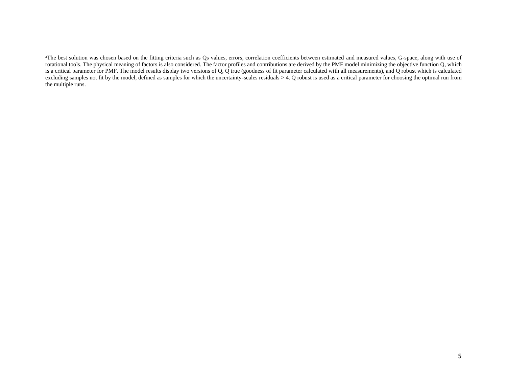<sup>a</sup>The best solution was chosen based on the fitting criteria such as Qs values, errors, correlation coefficients between estimated and measured values, G-space, along with use of rotational tools. The physical meaning of factors is also considered. The factor profiles and contributions are derived by the PMF model minimizing the objective function Q, which is a critical parameter for PMF. The model results display two versions of  $Q$ ,  $\overline{Q}$  true (goodness of fit parameter calculated with all measurements), and  $\overline{Q}$  robust which is calculated excluding samples not fit by the model, defined as samples for which the uncertainty-scales residuals > 4. Q robust is used as a critical parameter for choosing the optimal run from the multiple runs.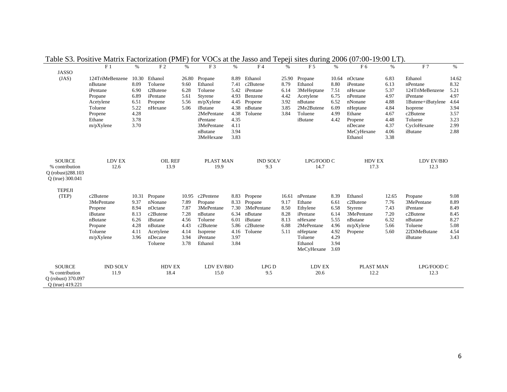|                    |                 |       | $\alpha$       | .     | , vvvac un     |      |                 |       | $1.1000$ and $1.11$ |       | 000101100<br>. | $-1$ , |                   |       |
|--------------------|-----------------|-------|----------------|-------|----------------|------|-----------------|-------|---------------------|-------|----------------|--------|-------------------|-------|
|                    | F <sub>1</sub>  | $\%$  | F <sub>2</sub> | $\%$  | F <sub>3</sub> | $\%$ | F <sub>4</sub>  | $\%$  | $\rm F$ 5           | $\%$  | F <sub>6</sub> | $\%$   | F <sub>7</sub>    | $\%$  |
| <b>JASSO</b>       |                 |       |                |       |                |      |                 |       |                     |       |                |        |                   |       |
| (JAS)              | 124TriMeBenzene | 10.30 | Ethanol        | 26.80 | Propane        | 8.89 | Ethanol         | 25.90 | Propane             | 10.64 | nOctane        | 6.83   | Ethanol           | 14.62 |
|                    | nButane         | 8.09  | Toluene        | 9.60  | Ethanol        | 7.41 | c2Butene        | 8.79  | Ethanol             | 8.80  | iPentane       | 6.13   | nPentane          | 8.32  |
|                    | iPentane        | 6.90  | t2Butene       | 6.28  | Toluene        | 5.42 | iPentane        | 6.14  | 3MeHeptane          | 7.51  | nHexane        | 5.37   | 124TriMeBenzene   | 5.21  |
|                    | Propane         | 6.89  | iPentane       | 5.61  | Styrene        | 4.93 | Benzene         | 4.42  | Acetylene           | 6.75  | nPentane       | 4.97   | iPentane          | 4.97  |
|                    | Acetylene       | 6.51  | Propene        | 5.56  | $m/pX$ ylene   | 4.45 | Propene         | 3.92  | nButane             | 6.52  | nNonane        | 4.88   | 1Butene+iButylene | 4.64  |
|                    | Toluene         | 5.22  | nHexane        | 5.06  | iButane        | 4.38 | nButane         | 3.85  | 2Me2Butene          | 6.09  | nHeptane       | 4.84   | Isoprene          | 3.94  |
|                    | Propene         | 4.28  |                |       | 2MePentane     | 4.38 | Toluene         | 3.84  | Toluene             | 4.99  | Ethane         | 4.67   | c2Butene          | 3.57  |
|                    | Ethane          | 3.78  |                |       | iPentane       | 4.35 |                 |       | iButane             | 4.42  | Propene        | 4.48   | Toluene           | 3.23  |
|                    | $m/pX$ ylene    | 3.70  |                |       | 3MePentane     | 4.11 |                 |       |                     |       | nDecane        | 4.37   | CycloHexane       | 2.99  |
|                    |                 |       |                |       | nButane        | 3.94 |                 |       |                     |       | MeCyHexane     | 4.06   | iButane           | 2.88  |
|                    |                 |       |                |       | 3MeHexane      | 3.83 |                 |       |                     |       | Ethanol        | 3.38   |                   |       |
| <b>SOURCE</b>      | <b>LDV EX</b>   |       | OIL REF        |       | PLAST MAN      |      | <b>IND SOLV</b> |       | LPG/FOOD C          |       | HDV EX         |        | LDV EV/BIO        |       |
| % contribution     | 12.6            |       | 13.9           |       | 19.9           |      | 9.3             |       | 14.7                |       | 17.3           |        | 12.3              |       |
| O (robust) 288.103 |                 |       |                |       |                |      |                 |       |                     |       |                |        |                   |       |
| Q (true) 300.041   |                 |       |                |       |                |      |                 |       |                     |       |                |        |                   |       |
|                    |                 |       |                |       |                |      |                 |       |                     |       |                |        |                   |       |
| <b>TEPEJI</b>      |                 |       |                |       |                |      |                 |       |                     |       |                |        |                   |       |
| (TEP)              | c2Butene        | 10.31 | Propane        | 10.95 | c2Pentene      | 8.83 | Propene         | 16.61 | nPentane            | 8.39  | Ethanol        | 12.65  | Propane           | 9.08  |
|                    | 3MePentane      | 9.37  | nNonane        | 7.89  | Propane        | 8.33 | Propane         | 9.17  | Ethane              | 6.61  | c2Butene       | 7.76   | 3MePentane        | 8.89  |
|                    | Propene         | 8.94  | nOctane        | 7.87  | 3MePentane     | 7.30 | 3MePentane      | 8.50  | Ethylene            | 6.58  | Styrene        | 7.43   | iPentane          | 8.49  |
|                    | iButane         | 8.13  | c2Butene       | 7.28  | nButane        | 6.34 | nButane         | 8.28  | iPentane            | 6.14  | 3MePentane     | 7.20   | c2Butene          | 8.45  |
|                    | nButane         | 6.26  | iButane        | 4.56  | Toluene        | 6.01 | iButane         | 8.13  | nHexane             | 5.55  | nButane        | 6.32   | nButane           | 8.27  |
|                    | Propane         | 4.28  | nButane        | 4.43  | c2Butene       | 5.86 | c2Butene        | 6.88  | 2MePentane          | 4.96  | $m/pX$ ylene   | 5.66   | Toluene           | 5.08  |
|                    | Toluene         | 4.11  | Acetylene      | 4.14  | Isoprene       | 4.16 | Toluene         | 5.11  | nHeptane            | 4.92  | Propene        | 5.60   | 22DiMeButane      | 4.54  |
|                    | $m/pX$ ylene    | 3.96  | nDecane        | 3.94  | iPentane       | 3.97 |                 |       | Toluene             | 4.29  |                |        | iButane           | 3.43  |
|                    |                 |       | Toluene        | 3.78  | Ethanol        | 3.84 |                 |       | Ethanol             | 3.94  |                |        |                   |       |
|                    |                 |       |                |       |                |      |                 |       | MeCyHexane          | 3.69  |                |        |                   |       |
| <b>SOURCE</b>      | <b>IND SOLV</b> |       | <b>HDV EX</b>  |       | LDV EV/BIO     |      | <b>LPGD</b>     |       | LDV EX              |       | PLAST MAN      |        | LPG/FOOD C        |       |
|                    |                 |       |                |       |                |      |                 |       |                     |       |                |        |                   |       |
| % contribution     | 11.9            |       | 18.4           |       | 15.0           |      | 9.5             |       | 20.6                |       | 12.2           |        | 12.3              |       |
| Q (robust) 370.097 |                 |       |                |       |                |      |                 |       |                     |       |                |        |                   |       |
| Q (true) 419.221   |                 |       |                |       |                |      |                 |       |                     |       |                |        |                   |       |

Table S3. Positive Matrix Factorization (PMF) for VOCs at the Jasso and Tepeji sites during 2006 (07:00-19:00 LT).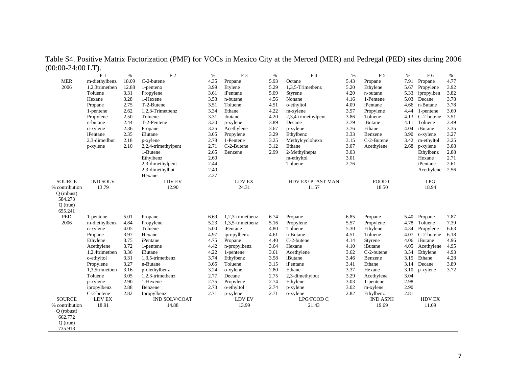|                | F <sub>1</sub>         | $\%$  | F <sub>2</sub>      | $\%$ | F <sub>3</sub>   | $\%$ | F <sub>4</sub>                                     | $\%$ | F <sub>5</sub>  | $\%$ | F <sub>6</sub> | $\%$ |
|----------------|------------------------|-------|---------------------|------|------------------|------|----------------------------------------------------|------|-----------------|------|----------------|------|
| <b>MER</b>     | m-diethylbenz          | 18.09 | C-2-butene          | 4.35 | Propane          | 5.93 | Octane                                             | 5.43 | Propane         | 7.91 | Propane        | 4.77 |
| 2006           | 1,2,3trimetben         | 12.88 | 1-penteno           | 3.99 | Etylene          | 5.29 | 1,3,5-Trimetbenz                                   | 5.20 | Ethylene        | 5.67 | Propylene      | 3.92 |
|                | Toluene                | 3.31  | Propylene           | 3.61 | iPentane         | 5.09 | Styrene                                            | 4.20 | n-butane        | 5.33 | ipropylben     | 3.82 |
|                | Hexane                 | 3.28  | 1-Hexene            | 3.53 | n-butane         | 4.56 | Nonane                                             | 4.16 | 1-Pentene       | 5.03 | Decane         | 3.78 |
|                | Propane                | 2.75  | T-2-Butene          | 3.51 | Toluene          | 4.51 | o-ethyltol                                         | 4.09 | iPentane        | 4.66 | n-Butane       | 3.78 |
|                | 1-pentene              | 2.62  | 1,2,3-Trimetbenz    | 3.34 | Ethane           | 4.22 | m-xylene                                           | 3.97 | Propylene       | 4.44 | 1-pentene      | 3.60 |
|                | Propylene              | 2.50  | Toluene             | 3.31 | ibutane          | 4.20 | 2,3,4-trimethylpent                                | 3.86 | Toluene         | 4.13 | C-2-butene     | 3.51 |
|                | n-butane               | 2.44  | T-2-Pentene         | 3.30 | p-xylene         | 3.89 | Decane                                             | 3.79 | iButane         | 4.11 | Toluene        | 3.49 |
|                | o-xylene               | 2.36  | Propane             | 3.25 | Acethylene       | 3.67 | p-xylene                                           | 3.76 | Ethane          | 4.04 | iButane        | 3.35 |
|                | iPentane               | 2.35  | iButane             | 3.05 | Propylene        | 3.29 | Ethylbenz                                          | 3.33 | Benzene         | 3.90 | o-xylene       | 3.27 |
|                | 2,3-dimetlbut          | 2.18  | p-xylene            | 2.78 | 1-Pentene        | 3.25 | Methylcyclohexa                                    | 3.15 | C-2-Butene      | 3.42 | m-ethyltol     | 3.25 |
|                | p-xylene               | 2.10  | 2,2,4-trimethylpent | 2.71 | C-2-Butene       | 3.12 | Ethane                                             | 3.07 | Acethylene      | 2.68 | p-xylene       | 3.08 |
|                |                        |       | 1-Butene            | 2.65 | Benzene          | 2.99 | 2-Methylhepta                                      | 3.03 |                 |      | Ethylbenz      | 2.88 |
|                |                        |       | Ethylbenz           | 2.60 |                  |      | m-ethyltol                                         | 3.01 |                 |      | Hexane         | 2.71 |
|                |                        |       | 2,3-dimethylpent    | 2.44 |                  |      | Toluene                                            | 2.76 |                 |      | iPentane       | 2.61 |
|                |                        |       | 2,3-dimethylbut     | 2.40 |                  |      |                                                    |      |                 |      | Acethylene     | 2.56 |
|                |                        |       | Hexane              | 2.37 |                  |      |                                                    |      |                 |      |                |      |
| <b>SOURCE</b>  | <b>IND SOLV</b>        |       | LDV EV              |      | LDV EX           |      | HDV EX/PLAST MAN                                   |      | FOOD C          |      | <b>LPG</b>     |      |
| % contribution | 13.79                  |       | 12.90               |      | 24.31            |      | 11.57                                              |      | 18.50           |      | 18.94          |      |
| O (robust)     |                        |       |                     |      |                  |      |                                                    |      |                 |      |                |      |
| 584.273        |                        |       |                     |      |                  |      |                                                    |      |                 |      |                |      |
| $Q$ (true)     |                        |       |                     |      |                  |      |                                                    |      |                 |      |                |      |
| 655.241        |                        |       |                     |      |                  |      |                                                    |      |                 |      |                |      |
| PED            | 1-pentene              | 5.01  | Propane             | 6.69 | 1.2.3-trimetbenz | 6.74 | Propane                                            | 6.85 | Propane         | 5.40 | Propane        | 7.87 |
| 2006           | m-diethylbenz          | 4.84  | Propylene           | 5.23 | 1,3,5-trimetbenz | 5.16 | Propylene                                          | 5.57 | Propylene       | 4.78 | Toluene        | 7.39 |
|                | o-xylene               | 4.05  | Toluene             | 5.00 | iPentane         | 4.80 | Toluene                                            | 5.30 | Ethylene        | 4.34 | Propylene      | 6.63 |
|                | Propane                | 3.97  | Hexane              | 4.97 | ipropylbenz      | 4.61 | n-Butane                                           | 4.51 | Toluene         | 4.07 | C-2-butene     | 6.18 |
|                | Ethylene               | 3.75  | iPentane            | 4.75 | Propane          | 4.40 | C-2-butene                                         | 4.14 | Styrene         | 4.06 | iButane        | 4.96 |
|                | Acethylene             | 3.72  | 1-pentene           | 4.42 | n-propylbenz     | 3.64 | Hexane                                             | 4.10 | iButane         | 4.05 | Acethylene     | 4.95 |
|                | 1,2,4trimetben         | 3.36  | iButane             | 4.22 | 1-pentene        | 3.61 | Acethylene                                         | 3.62 | C-2-butene      | 3.54 | Ethylene       | 4.93 |
|                | o-ethyltol             | 3.31  | 1,3,5-trimetbenz    | 3.74 | Ethylbenz        | 3.58 | iButane                                            | 3.46 | Benzene         |      | 3.15 Ethane    | 4.28 |
|                | Propylene              | 3.27  | n-Butane            | 3.65 | Toluene          | 3.15 | iPentane                                           | 3.41 | Ethane          | 3.14 | Decane         | 3.89 |
|                | 1,3,5trimetben         | 3.16  | p-diethylbenz       | 3.24 | o-xylene         | 2.80 | Ethane                                             | 3.37 | Hexane          | 3.10 | p-xylene       | 3.72 |
|                | Toluene                | 3.05  | 1,2,3-trimetbenz    | 2.77 | Decane           | 2.75 | 2,3-dimethylbut                                    | 3.29 | Acethylene      | 3.04 |                |      |
|                | p-xylene               | 2.90  | 1-Hexene            | 2.75 | Propylene        | 2.74 | Ethylene                                           | 3.03 | 1-pentene       | 2.98 |                |      |
|                | ipropylbenz            | 2.88  | Benzene             | 2.73 | o-ethyltol       | 2.74 | p-xylene                                           | 3.02 | m-xylene        | 2.90 |                |      |
|                | C-2-butene             | 2.82  | Ipropylbenz         | 2.71 | p-xylene         | 2.71 | o-xylene                                           | 2.82 | Ethylbenz       | 2.81 |                |      |
| <b>SOURCE</b>  | ${\rm LDV}$ ${\rm EX}$ |       | IND SOLV/COAT       |      | LDV EV           |      | $\ensuremath{\mathrm{LPG}}\xspace/\mathrm{FOOD}$ C |      | <b>IND ASPH</b> |      | HDV EX         |      |
| % contribution | 18.91                  |       | 14.88               |      | 13.99            |      | 21.43                                              |      | 19.69           |      | 11.09          |      |
| $O$ (robust)   |                        |       |                     |      |                  |      |                                                    |      |                 |      |                |      |
| 662.772        |                        |       |                     |      |                  |      |                                                    |      |                 |      |                |      |
| $Q$ (true)     |                        |       |                     |      |                  |      |                                                    |      |                 |      |                |      |
| 735.918        |                        |       |                     |      |                  |      |                                                    |      |                 |      |                |      |

Table S4. Positive Matrix Factorization (PMF) for VOCs in Mexico City at the Merced (MER) and Pedregal (PED) sites during 2006 (00:00-24:00 LT).  $\overline{\phantom{0}}$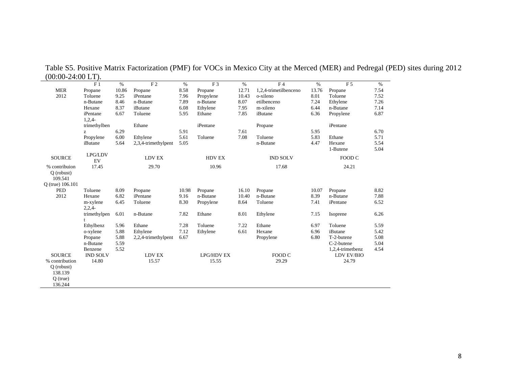| $00.00 \pm 1.00 \pm 1.00$ | F <sub>1</sub>  | $\%$  | F <sub>2</sub>      | $\%$  | F <sub>3</sub>    | $\%$  | F <sub>4</sub>        | $\%$  | F <sub>5</sub>   | $\%$ |
|---------------------------|-----------------|-------|---------------------|-------|-------------------|-------|-----------------------|-------|------------------|------|
| <b>MER</b>                | Propane         | 10.86 | Propane             | 8.58  | Propane           | 12.71 | 1,2,4-trimetilbenceno | 13.76 | Propane          | 7.54 |
| 2012                      | Toluene         | 9.25  | iPentane            | 7.96  | Propylene         | 10.43 | o-xileno              | 8.01  | Toluene          | 7.52 |
|                           | n-Butane        | 8.46  | n-Butane            | 7.89  | n-Butane          | 8.07  | etilbenceno           | 7.24  | Ethylene         | 7.26 |
|                           | Hexane          | 8.37  | iButane             | 6.08  | Ethylene          | 7.95  | m-xileno              | 6.44  | n-Butane         | 7.14 |
|                           | iPentane        | 6.67  | Toluene             | 5.95  | Ethane            | 7.85  | iButane               | 6.36  | Propylene        | 6.87 |
|                           | $1,2,4-$        |       |                     |       |                   |       |                       |       |                  |      |
|                           | trimethylben    |       | Ethane              |       | iPentane          |       | Propane               |       | iPentane         |      |
|                           | z               | 6.29  |                     | 5.91  |                   | 7.61  |                       | 5.95  |                  | 6.70 |
|                           | Propylene       | 6.00  | Ethylene            | 5.61  | Toluene           | 7.08  | Toluene               | 5.83  | Ethane           | 5.71 |
|                           | iButane         | 5.64  | 2,3,4-trimethylpent | 5.05  |                   |       | n-Butane              | 4.47  | Hexane           | 5.54 |
|                           |                 |       |                     |       |                   |       |                       |       | 1-Butene         | 5.04 |
| <b>SOURCE</b>             | LPG/LDV<br>EV   |       | <b>LDV EX</b>       |       | <b>HDV EX</b>     |       | <b>IND SOLV</b>       |       | FOOD C           |      |
| % contribuion             | 17.45           |       | 29.70               |       | 10.96             |       | 17.68                 |       | 24.21            |      |
| $O$ (robust)<br>109.541   |                 |       |                     |       |                   |       |                       |       |                  |      |
| Q (true) 106.101          |                 |       |                     |       |                   |       |                       |       |                  |      |
| PED                       | Toluene         | 8.09  | Propane             | 10.98 | Propane           | 16.10 | Propane               | 10.07 | Propane          | 8.82 |
| 2012                      | Hexane          | 6.82  | iPentane            | 9.16  | n-Butane          | 10.40 | n-Butane              | 8.39  | n-Butane         | 7.88 |
|                           | m-xylene        | 6.45  | Toluene             | 8.30  | Propylene         | 8.64  | Toluene               | 7.41  | iPentane         | 6.52 |
|                           | $2,2,4-$        |       |                     |       |                   |       |                       |       |                  |      |
|                           | trimethylpen    | 6.01  | n-Butane            | 7.82  | Ethane            | 8.01  | Ethylene              | 7.15  | Isoprene         | 6.26 |
|                           | t               |       |                     |       |                   |       |                       |       |                  |      |
|                           | Ethylbenz       | 5.96  | Ethane              | 7.28  | Toluene           | 7.22  | Ethane                | 6.97  | Toluene          | 5.59 |
|                           | o-xylene        | 5.88  | Ethylene            | 7.12  | Ethylene          | 6.61  | Hexane                | 6.96  | iButane          | 5.42 |
|                           | Propane         | 5.88  | 2,2,4-trimethylpent | 6.67  |                   |       | Propylene             | 6.80  | T-2-butene       | 5.08 |
|                           | n-Butane        | 5.59  |                     |       |                   |       |                       |       | C-2-butene       | 5.04 |
|                           | Benzene         | 5.52  |                     |       |                   |       |                       |       | 1,2,4-trimetbenz | 4.54 |
| <b>SOURCE</b>             | <b>IND SOLV</b> |       | LDV EX              |       | <b>LPG/HDV EX</b> |       | FOOD C                |       | LDV EV/BIO       |      |
| % contribution            | 14.80           |       | 15.57               |       | 15.55             |       | 29.29                 |       | 24.79            |      |
| $O$ (robust)              |                 |       |                     |       |                   |       |                       |       |                  |      |
| 138.139                   |                 |       |                     |       |                   |       |                       |       |                  |      |
| $O$ (true)                |                 |       |                     |       |                   |       |                       |       |                  |      |
| 136.244                   |                 |       |                     |       |                   |       |                       |       |                  |      |

Table S5. Positive Matrix Factorization (PMF) for VOCs in Mexico City at the Merced (MER) and Pedregal (PED) sites during 2012 (00:00-24:00 LT). L,